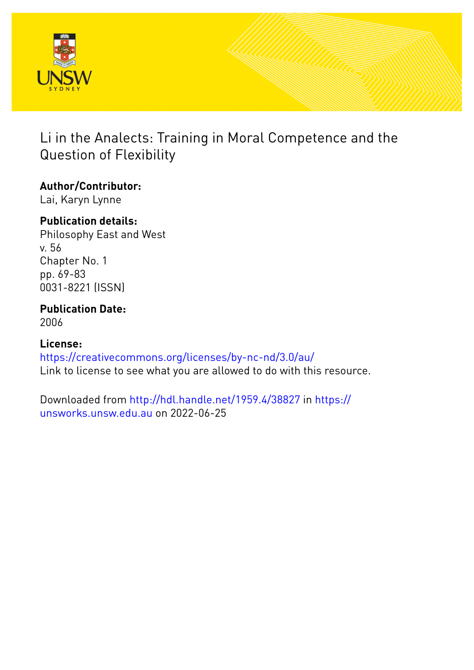

## Li in the Analects: Training in Moral Competence and the Question of Flexibility

# **Author/Contributor:**

Lai, Karyn Lynne

### **Publication details:**

Philosophy East and West v. 56 Chapter No. 1 pp. 69-83 0031-8221 (ISSN)

## **Publication Date:**

2006

### **License:**

<https://creativecommons.org/licenses/by-nc-nd/3.0/au/> Link to license to see what you are allowed to do with this resource.

Downloaded from <http://hdl.handle.net/1959.4/38827> in [https://](https://unsworks.unsw.edu.au) [unsworks.unsw.edu.au](https://unsworks.unsw.edu.au) on 2022-06-25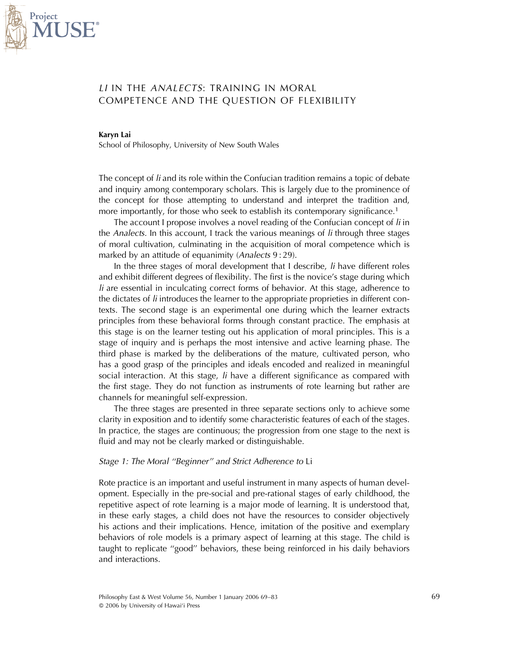

### LI IN THE ANALECTS: TRAINING IN MORAL COMPETENCE AND THE QUESTION OF FLEXIBILITY

#### Karyn Lai

School of Philosophy, University of New South Wales

The concept of li and its role within the Confucian tradition remains a topic of debate and inquiry among contemporary scholars. This is largely due to the prominence of the concept for those attempting to understand and interpret the tradition and, more importantly, for those who seek to establish its contemporary significance.<sup>1</sup>

The account I propose involves a novel reading of the Confucian concept of li in the Analects. In this account, I track the various meanings of li through three stages of moral cultivation, culminating in the acquisition of moral competence which is marked by an attitude of equanimity (Analects 9:29).

In the three stages of moral development that I describe, *li* have different roles and exhibit different degrees of flexibility. The first is the novice's stage during which li are essential in inculcating correct forms of behavior. At this stage, adherence to the dictates of *li* introduces the learner to the appropriate proprieties in different contexts. The second stage is an experimental one during which the learner extracts principles from these behavioral forms through constant practice. The emphasis at this stage is on the learner testing out his application of moral principles. This is a stage of inquiry and is perhaps the most intensive and active learning phase. The third phase is marked by the deliberations of the mature, cultivated person, who has a good grasp of the principles and ideals encoded and realized in meaningful social interaction. At this stage, li have a different significance as compared with the first stage. They do not function as instruments of rote learning but rather are channels for meaningful self-expression.

The three stages are presented in three separate sections only to achieve some clarity in exposition and to identify some characteristic features of each of the stages. In practice, the stages are continuous; the progression from one stage to the next is fluid and may not be clearly marked or distinguishable.

#### Stage 1: The Moral "Beginner" and Strict Adherence to Li

Rote practice is an important and useful instrument in many aspects of human development. Especially in the pre-social and pre-rational stages of early childhood, the repetitive aspect of rote learning is a major mode of learning. It is understood that, in these early stages, a child does not have the resources to consider objectively his actions and their implications. Hence, imitation of the positive and exemplary behaviors of role models is a primary aspect of learning at this stage. The child is taught to replicate "good" behaviors, these being reinforced in his daily behaviors and interactions.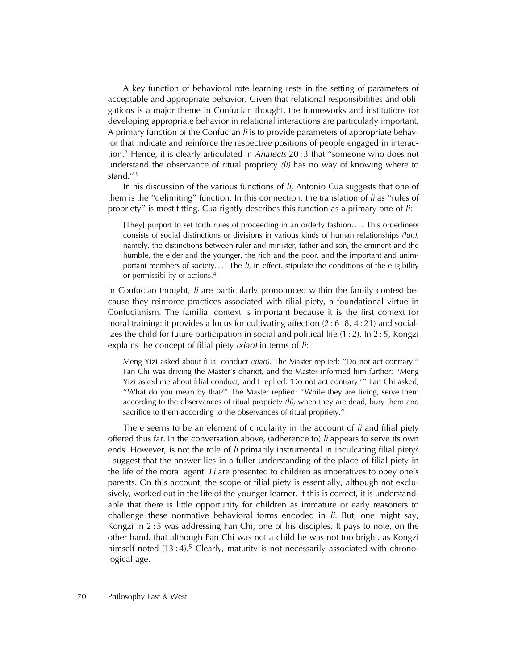A key function of behavioral rote learning rests in the setting of parameters of acceptable and appropriate behavior. Given that relational responsibilities and obligations is a major theme in Confucian thought, the frameworks and institutions for developing appropriate behavior in relational interactions are particularly important. A primary function of the Confucian *li* is to provide parameters of appropriate behavior that indicate and reinforce the respective positions of people engaged in interaction.<sup>2</sup> Hence, it is clearly articulated in Analects 20:3 that "someone who does not understand the observance of ritual propriety  $(i)$  has no way of knowing where to stand. $^{\prime\prime}$ <sup>3</sup>

In his discussion of the various functions of *li*, Antonio Cua suggests that one of them is the "delimiting" function. In this connection, the translation of li as "rules of propriety" is most fitting. Cua rightly describes this function as a primary one of li:

[They] purport to set forth rules of proceeding in an orderly fashion.... This orderliness consists of social distinctions or divisions in various kinds of human relationships (lun), namely, the distinctions between ruler and minister, father and son, the eminent and the humble, the elder and the younger, the rich and the poor, and the important and unimportant members of society.... The li, in effect, stipulate the conditions of the eligibility or permissibility of actions.<sup>4</sup>

In Confucian thought, *li* are particularly pronounced within the family context because they reinforce practices associated with filial piety, a foundational virtue in Confucianism. The familial context is important because it is the first context for moral training: it provides a locus for cultivating affection  $(2:6-8, 4:21)$  and socializes the child for future participation in social and political life  $(1:2)$ . In 2:5, Kongzi explains the concept of filial piety (xiao) in terms of li:

Meng Yizi asked about filial conduct (xiao). The Master replied: "Do not act contrary." Fan Chi was driving the Master's chariot, and the Master informed him further: "Meng Yizi asked me about filial conduct, and I replied: 'Do not act contrary.'" Fan Chi asked, "What do you mean by that?" The Master replied: "While they are living, serve them according to the observances of ritual propriety (li); when they are dead, bury them and sacrifice to them according to the observances of ritual propriety."

There seems to be an element of circularity in the account of li and filial piety offered thus far. In the conversation above, (adherence to) *li* appears to serve its own ends. However, is not the role of *li* primarily instrumental in inculcating filial piety? I suggest that the answer lies in a fuller understanding of the place of filial piety in the life of the moral agent. Li are presented to children as imperatives to obey one's parents. On this account, the scope of filial piety is essentially, although not exclusively, worked out in the life of the younger learner. If this is correct, it is understandable that there is little opportunity for children as immature or early reasoners to challenge these normative behavioral forms encoded in li. But, one might say, Kongzi in 2:5 was addressing Fan Chi, one of his disciples. It pays to note, on the other hand, that although Fan Chi was not a child he was not too bright, as Kongzi himself noted  $(13:4)$ .<sup>5</sup> Clearly, maturity is not necessarily associated with chronological age.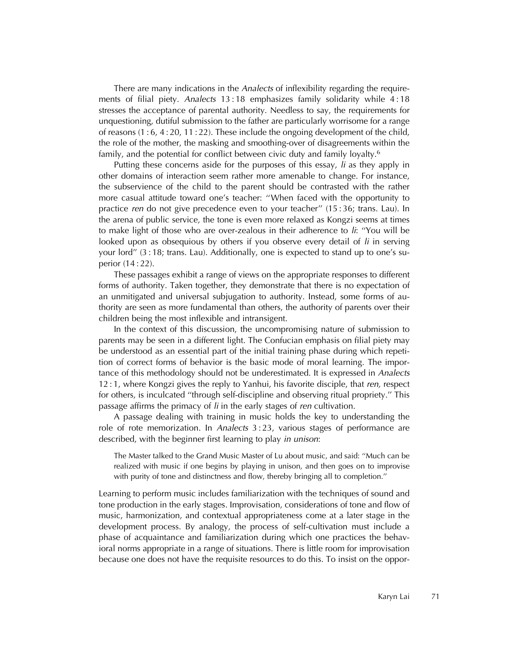There are many indications in the *Analects* of inflexibility regarding the requirements of filial piety. Analects 13:18 emphasizes family solidarity while 4:18 stresses the acceptance of parental authority. Needless to say, the requirements for unquestioning, dutiful submission to the father are particularly worrisome for a range of reasons  $(1:6, 4:20, 11:22)$ . These include the ongoing development of the child, the role of the mother, the masking and smoothing-over of disagreements within the family, and the potential for conflict between civic duty and family loyalty.<sup>6</sup>

Putting these concerns aside for the purposes of this essay, li as they apply in other domains of interaction seem rather more amenable to change. For instance, the subservience of the child to the parent should be contrasted with the rather more casual attitude toward one's teacher: "When faced with the opportunity to practice ren do not give precedence even to your teacher" (15:36; trans. Lau). In the arena of public service, the tone is even more relaxed as Kongzi seems at times to make light of those who are over-zealous in their adherence to *li*: "You will be looked upon as obsequious by others if you observe every detail of li in serving your lord" (3:18; trans. Lau). Additionally, one is expected to stand up to one's superior (14:22).

These passages exhibit a range of views on the appropriate responses to different forms of authority. Taken together, they demonstrate that there is no expectation of an unmitigated and universal subjugation to authority. Instead, some forms of authority are seen as more fundamental than others, the authority of parents over their children being the most inflexible and intransigent.

In the context of this discussion, the uncompromising nature of submission to parents may be seen in a different light. The Confucian emphasis on filial piety may be understood as an essential part of the initial training phase during which repetition of correct forms of behavior is the basic mode of moral learning. The importance of this methodology should not be underestimated. It is expressed in Analects 12:1, where Kongzi gives the reply to Yanhui, his favorite disciple, that *ren*, respect for others, is inculcated "through self-discipline and observing ritual propriety." This passage affirms the primacy of *li* in the early stages of *ren* cultivation.

A passage dealing with training in music holds the key to understanding the role of rote memorization. In Analects 3:23, various stages of performance are described, with the beginner first learning to play in unison:

The Master talked to the Grand Music Master of Lu about music, and said: "Much can be realized with music if one begins by playing in unison, and then goes on to improvise with purity of tone and distinctness and flow, thereby bringing all to completion."

Learning to perform music includes familiarization with the techniques of sound and tone production in the early stages. Improvisation, considerations of tone and flow of music, harmonization, and contextual appropriateness come at a later stage in the development process. By analogy, the process of self-cultivation must include a phase of acquaintance and familiarization during which one practices the behavioral norms appropriate in a range of situations. There is little room for improvisation because one does not have the requisite resources to do this. To insist on the oppor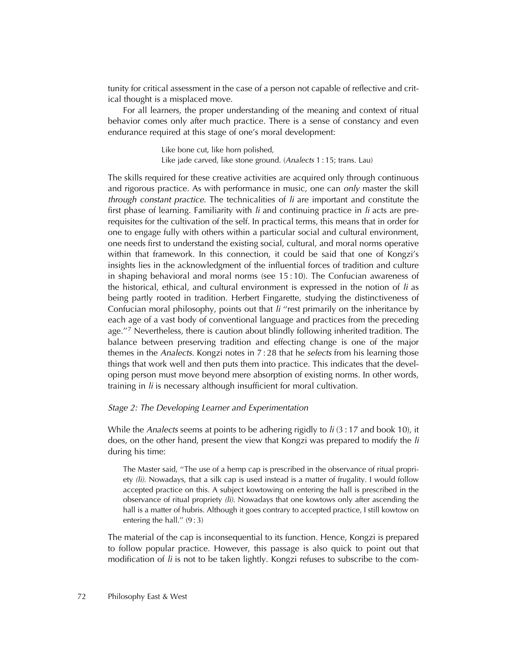tunity for critical assessment in the case of a person not capable of reflective and critical thought is a misplaced move.

For all learners, the proper understanding of the meaning and context of ritual behavior comes only after much practice. There is a sense of constancy and even endurance required at this stage of one's moral development:

> Like bone cut, like horn polished, Like jade carved, like stone ground. (Analects 1:15; trans. Lau)

The skills required for these creative activities are acquired only through continuous and rigorous practice. As with performance in music, one can only master the skill through constant practice. The technicalities of li are important and constitute the first phase of learning. Familiarity with li and continuing practice in li acts are prerequisites for the cultivation of the self. In practical terms, this means that in order for one to engage fully with others within a particular social and cultural environment, one needs first to understand the existing social, cultural, and moral norms operative within that framework. In this connection, it could be said that one of Kongzi's insights lies in the acknowledgment of the influential forces of tradition and culture in shaping behavioral and moral norms (see  $15:10$ ). The Confucian awareness of the historical, ethical, and cultural environment is expressed in the notion of li as being partly rooted in tradition. Herbert Fingarette, studying the distinctiveness of Confucian moral philosophy, points out that *li* "rest primarily on the inheritance by each age of a vast body of conventional language and practices from the preceding age."<sup>7</sup> Nevertheless, there is caution about blindly following inherited tradition. The balance between preserving tradition and effecting change is one of the major themes in the Analects. Kongzi notes in 7:28 that he selects from his learning those things that work well and then puts them into practice. This indicates that the developing person must move beyond mere absorption of existing norms. In other words, training in *li* is necessary although insufficient for moral cultivation.

#### Stage 2: The Developing Learner and Experimentation

While the Analects seems at points to be adhering rigidly to  $li(3:17$  and book 10), it does, on the other hand, present the view that Kongzi was prepared to modify the li during his time:

The Master said, "The use of a hemp cap is prescribed in the observance of ritual propriety (li). Nowadays, that a silk cap is used instead is a matter of frugality. I would follow accepted practice on this. A subject kowtowing on entering the hall is prescribed in the observance of ritual propriety  $(ii)$ . Nowadays that one kowtows only after ascending the hall is a matter of hubris. Although it goes contrary to accepted practice, I still kowtow on entering the hall."  $(9:3)$ 

The material of the cap is inconsequential to its function. Hence, Kongzi is prepared to follow popular practice. However, this passage is also quick to point out that modification of li is not to be taken lightly. Kongzi refuses to subscribe to the com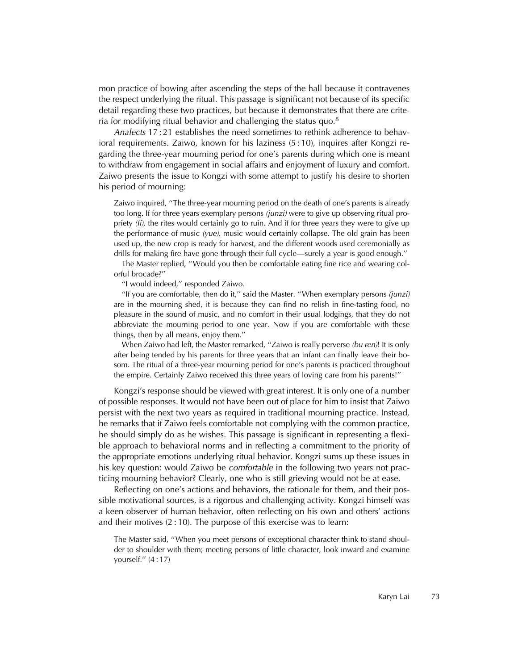mon practice of bowing after ascending the steps of the hall because it contravenes the respect underlying the ritual. This passage is significant not because of its specific detail regarding these two practices, but because it demonstrates that there are criteria for modifying ritual behavior and challenging the status quo.<sup>8</sup>

Analects 17:21 establishes the need sometimes to rethink adherence to behavioral requirements. Zaiwo, known for his laziness (5:10), inquires after Kongzi regarding the three-year mourning period for one's parents during which one is meant to withdraw from engagement in social affairs and enjoyment of luxury and comfort. Zaiwo presents the issue to Kongzi with some attempt to justify his desire to shorten his period of mourning:

Zaiwo inquired, "The three-year mourning period on the death of one's parents is already too long. If for three years exemplary persons (junzi) were to give up observing ritual propriety (li), the rites would certainly go to ruin. And if for three years they were to give up the performance of music  $(yue)$ , music would certainly collapse. The old grain has been used up, the new crop is ready for harvest, and the different woods used ceremonially as drills for making fire have gone through their full cycle—surely a year is good enough."

The Master replied, "Would you then be comfortable eating fine rice and wearing colorful brocade?"

"I would indeed," responded Zaiwo.

"If you are comfortable, then do it," said the Master. "When exemplary persons *(junzi)*" are in the mourning shed, it is because they can find no relish in fine-tasting food, no pleasure in the sound of music, and no comfort in their usual lodgings, that they do not abbreviate the mourning period to one year. Now if you are comfortable with these things, then by all means, enjoy them."

When Zaiwo had left, the Master remarked, "Zaiwo is really perverse (bu ren)! It is only after being tended by his parents for three years that an infant can finally leave their bosom. The ritual of a three-year mourning period for one's parents is practiced throughout the empire. Certainly Zaiwo received this three years of loving care from his parents!"

Kongzi's response should be viewed with great interest. It is only one of a number of possible responses. It would not have been out of place for him to insist that Zaiwo persist with the next two years as required in traditional mourning practice. Instead, he remarks that if Zaiwo feels comfortable not complying with the common practice, he should simply do as he wishes. This passage is significant in representing a flexible approach to behavioral norms and in reflecting a commitment to the priority of the appropriate emotions underlying ritual behavior. Kongzi sums up these issues in his key question: would Zaiwo be *comfortable* in the following two years not practicing mourning behavior? Clearly, one who is still grieving would not be at ease.

Reflecting on one's actions and behaviors, the rationale for them, and their possible motivational sources, is a rigorous and challenging activity. Kongzi himself was a keen observer of human behavior, often reflecting on his own and others' actions and their motives  $(2:10)$ . The purpose of this exercise was to learn:

The Master said, "When you meet persons of exceptional character think to stand shoulder to shoulder with them; meeting persons of little character, look inward and examine yourself."  $(4:17)$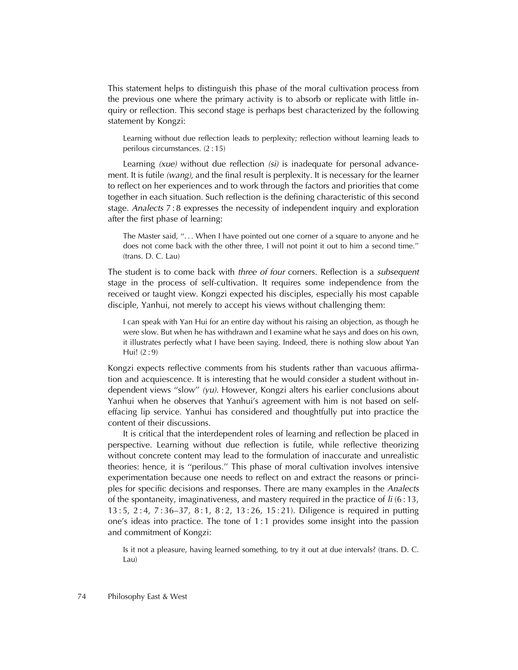This statement helps to distinguish this phase of the moral cultivation process from the previous one where the primary activity is to absorb or replicate with little inquiry or reflection. This second stage is perhaps best characterized by the following statement by Kongzi:

Learning without due reflection leads to perplexity; reflection without learning leads to perilous circumstances. (2:15)

Learning (xue) without due reflection (si) is inadequate for personal advancement. It is futile (wang), and the final result is perplexity. It is necessary for the learner to reflect on her experiences and to work through the factors and priorities that come together in each situation. Such reflection is the defining characteristic of this second stage. Analects 7:8 expresses the necessity of independent inquiry and exploration after the first phase of learning:

The Master said, "... When I have pointed out one corner of a square to anyone and he does not come back with the other three, I will not point it out to him a second time." (trans. D. C. Lau)

The student is to come back with three of four corners. Reflection is a subsequent stage in the process of self-cultivation. It requires some independence from the received or taught view. Kongzi expected his disciples, especially his most capable disciple, Yanhui, not merely to accept his views without challenging them:

I can speak with Yan Hui for an entire day without his raising an objection, as though he were slow. But when he has withdrawn and I examine what he says and does on his own, it illustrates perfectly what I have been saying. Indeed, there is nothing slow about Yan Hui! $(2:9)$ 

Kongzi expects reflective comments from his students rather than vacuous affirmation and acquiescence. It is interesting that he would consider a student without independent views "slow" (yu). However, Kongzi alters his earlier conclusions about Yanhui when he observes that Yanhui's agreement with him is not based on selfeffacing lip service. Yanhui has considered and thoughtfully put into practice the content of their discussions.

It is critical that the interdependent roles of learning and reflection be placed in perspective. Learning without due reflection is futile, while reflective theorizing without concrete content may lead to the formulation of inaccurate and unrealistic theories: hence, it is "perilous." This phase of moral cultivation involves intensive experimentation because one needs to reflect on and extract the reasons or principles for specific decisions and responses. There are many examples in the Analects of the spontaneity, imaginativeness, and mastery required in the practice of  $\hat{I}$  (6:13,  $13:5, 2:4, 7:36-37, 8:1, 8:2, 13:26, 15:21$ ). Diligence is required in putting one's ideas into practice. The tone of  $1:1$  provides some insight into the passion and commitment of Kongzi:

Is it not a pleasure, having learned something, to try it out at due intervals? (trans. D. C.  $Lau)$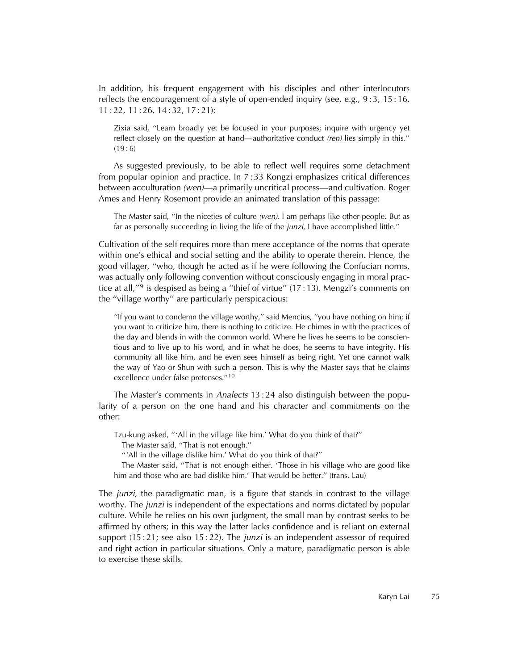In addition, his frequent engagement with his disciples and other interlocutors reflects the encouragement of a style of open-ended inquiry (see, e.g., 9:3, 15:16,  $11:22, 11:26, 14:32, 17:21$ :

Zixia said, "Learn broadly yet be focused in your purposes; inquire with urgency yet reflect closely on the question at hand—authoritative conduct (ren) lies simply in this."  $(19:6)$ 

As suggested previously, to be able to reflect well requires some detachment from popular opinion and practice. In 7:33 Kongzi emphasizes critical differences between acculturation (wen)—a primarily uncritical process—and cultivation. Roger Ames and Henry Rosemont provide an animated translation of this passage:

The Master said, "In the niceties of culture (wen), I am perhaps like other people. But as far as personally succeeding in living the life of the junzi, I have accomplished little."

Cultivation of the self requires more than mere acceptance of the norms that operate within one's ethical and social setting and the ability to operate therein. Hence, the good villager, "who, though he acted as if he were following the Confucian norms, was actually only following convention without consciously engaging in moral practice at all,"<sup>9</sup> is despised as being a "thief of virtue"  $(17:13)$ . Mengzi's comments on the "village worthy" are particularly perspicacious:

"If you want to condemn the village worthy," said Mencius, "you have nothing on him; if you want to criticize him, there is nothing to criticize. He chimes in with the practices of the day and blends in with the common world. Where he lives he seems to be conscientious and to live up to his word, and in what he does, he seems to have integrity. His community all like him, and he even sees himself as being right. Yet one cannot walk the way of Yao or Shun with such a person. This is why the Master says that he claims excellence under false pretenses."<sup>10</sup>

The Master's comments in *Analects* 13:24 also distinguish between the popularity of a person on the one hand and his character and commitments on the other:

Tzu-kung asked, "'All in the village like him.' What do you think of that?"

The Master said, "That is not enough."

"'All in the village dislike him.' What do you think of that?"

The Master said, "That is not enough either. 'Those in his village who are good like him and those who are bad dislike him.' That would be better." (trans. Lau)

The junzi, the paradigmatic man, is a figure that stands in contrast to the village worthy. The junzi is independent of the expectations and norms dictated by popular culture. While he relies on his own judgment, the small man by contrast seeks to be affirmed by others; in this way the latter lacks confidence and is reliant on external support  $(15:21)$ ; see also 15:22). The *junzi* is an independent assessor of required and right action in particular situations. Only a mature, paradigmatic person is able to exercise these skills.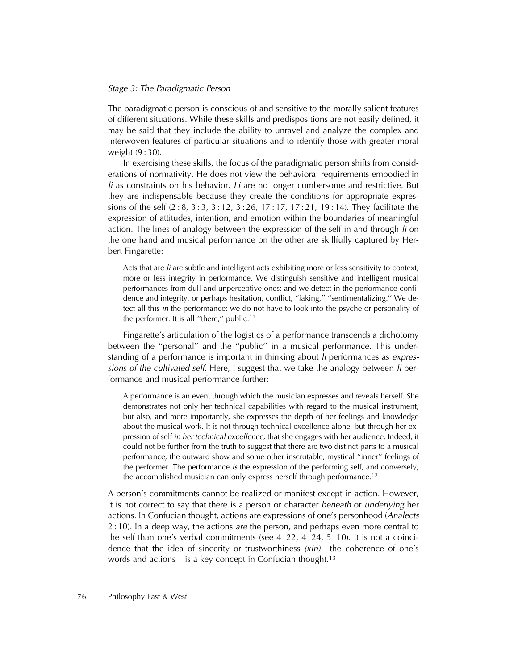#### Stage 3: The Paradigmatic Person

The paradigmatic person is conscious of and sensitive to the morally salient features of different situations. While these skills and predispositions are not easily defined, it may be said that they include the ability to unravel and analyze the complex and interwoven features of particular situations and to identify those with greater moral weight  $(9:30)$ .

In exercising these skills, the focus of the paradigmatic person shifts from considerations of normativity. He does not view the behavioral requirements embodied in li as constraints on his behavior. Li are no longer cumbersome and restrictive. But they are indispensable because they create the conditions for appropriate expressions of the self  $(2:8, 3:3, 3:12, 3:26, 17:17, 17:21, 19:14)$ . They facilitate the expression of attitudes, intention, and emotion within the boundaries of meaningful action. The lines of analogy between the expression of the self in and through li on the one hand and musical performance on the other are skillfully captured by Herbert Fingarette:

Acts that are *li* are subtle and intelligent acts exhibiting more or less sensitivity to context, more or less integrity in performance. We distinguish sensitive and intelligent musical performances from dull and unperceptive ones; and we detect in the performance confidence and integrity, or perhaps hesitation, conflict, "faking," "sentimentalizing." We detect all this *in* the performance; we do not have to look into the psyche or personality of the performer. It is all "there," public.<sup>11</sup>

Fingarette's articulation of the logistics of a performance transcends a dichotomy between the "personal" and the "public" in a musical performance. This understanding of a performance is important in thinking about *li* performances as *expres*sions of the cultivated self. Here, I suggest that we take the analogy between li performance and musical performance further:

A performance is an event through which the musician expresses and reveals herself. She demonstrates not only her technical capabilities with regard to the musical instrument, but also, and more importantly, she expresses the depth of her feelings and knowledge about the musical work. It is not through technical excellence alone, but through her expression of self in her technical excellence, that she engages with her audience. Indeed, it could not be further from the truth to suggest that there are two distinct parts to a musical performance, the outward show and some other inscrutable, mystical "inner" feelings of the performer. The performance is the expression of the performing self, and conversely, the accomplished musician can only express herself through performance.<sup>12</sup>

A person's commitments cannot be realized or manifest except in action. However, it is not correct to say that there is a person or character beneath or underlying her actions. In Confucian thought, actions are expressions of one's personhood (Analects  $2:10$ ). In a deep way, the actions are the person, and perhaps even more central to the self than one's verbal commitments (see  $4:22$ ,  $4:24$ ,  $5:10$ ). It is not a coincidence that the idea of sincerity or trustworthiness (xin)—the coherence of one's words and actions-is a key concept in Confucian thought.<sup>13</sup>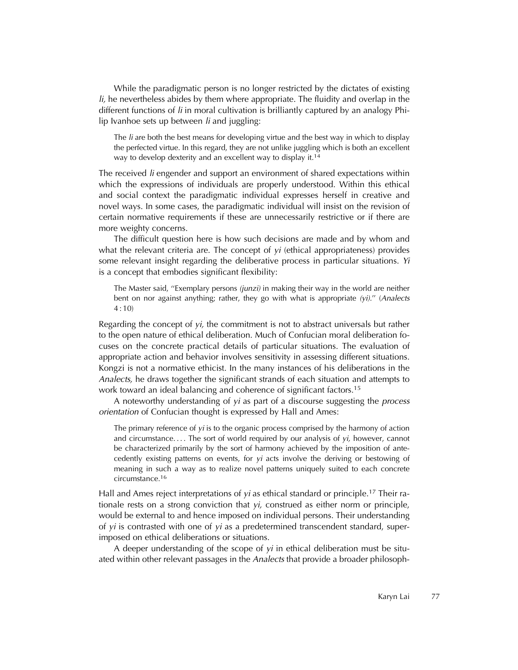While the paradigmatic person is no longer restricted by the dictates of existing li, he nevertheless abides by them where appropriate. The fluidity and overlap in the different functions of li in moral cultivation is brilliantly captured by an analogy Philip Ivanhoe sets up between li and juggling:

The li are both the best means for developing virtue and the best way in which to display the perfected virtue. In this regard, they are not unlike juggling which is both an excellent way to develop dexterity and an excellent way to display it.<sup>14</sup>

The received *li* engender and support an environment of shared expectations within which the expressions of individuals are properly understood. Within this ethical and social context the paradigmatic individual expresses herself in creative and novel ways. In some cases, the paradigmatic individual will insist on the revision of certain normative requirements if these are unnecessarily restrictive or if there are more weighty concerns.

The difficult question here is how such decisions are made and by whom and what the relevant criteria are. The concept of  $yi$  (ethical appropriateness) provides some relevant insight regarding the deliberative process in particular situations. Yi is a concept that embodies significant flexibility:

The Master said, "Exemplary persons (junzi) in making their way in the world are neither bent on nor against anything; rather, they go with what is appropriate  $(yi)$ ." (Analects  $4:10$ 

Regarding the concept of  $yi$ , the commitment is not to abstract universals but rather to the open nature of ethical deliberation. Much of Confucian moral deliberation focuses on the concrete practical details of particular situations. The evaluation of appropriate action and behavior involves sensitivity in assessing different situations. Kongzi is not a normative ethicist. In the many instances of his deliberations in the Analects, he draws together the significant strands of each situation and attempts to work toward an ideal balancing and coherence of significant factors.<sup>15</sup>

A noteworthy understanding of yi as part of a discourse suggesting the process orientation of Confucian thought is expressed by Hall and Ames:

The primary reference of yi is to the organic process comprised by the harmony of action and circumstance.... The sort of world required by our analysis of yi, however, cannot be characterized primarily by the sort of harmony achieved by the imposition of antecedently existing patterns on events, for yi acts involve the deriving or bestowing of meaning in such a way as to realize novel patterns uniquely suited to each concrete circumstance.<sup>16</sup>

Hall and Ames reject interpretations of yi as ethical standard or principle.<sup>17</sup> Their rationale rests on a strong conviction that yi, construed as either norm or principle, would be external to and hence imposed on individual persons. Their understanding of yi is contrasted with one of yi as a predetermined transcendent standard, superimposed on ethical deliberations or situations.

A deeper understanding of the scope of  $yi$  in ethical deliberation must be situated within other relevant passages in the Analects that provide a broader philosoph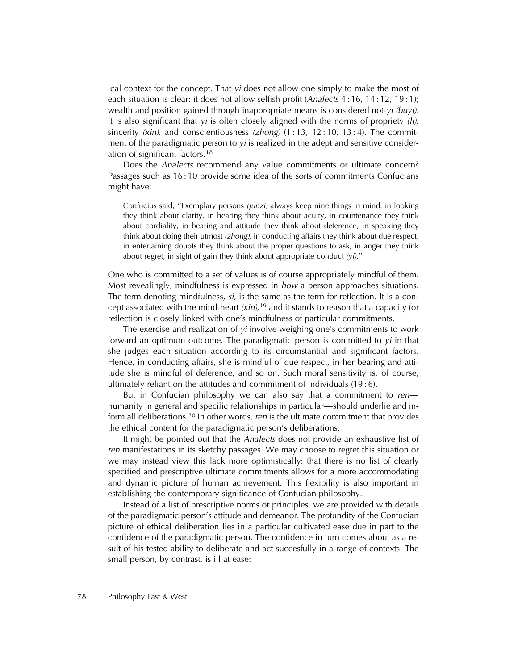ical context for the concept. That yi does not allow one simply to make the most of each situation is clear: it does not allow selfish profit (Analects 4:16, 14:12, 19:1); wealth and position gained through inappropriate means is considered not-yi (buyi). It is also significant that  $yi$  is often closely aligned with the norms of propriety ( $li$ ), sincerity (xin), and conscientiousness (zhong)  $(1:13, 12:10, 13:4)$ . The commitment of the paradigmatic person to yi is realized in the adept and sensitive consideration of significant factors.<sup>18</sup>

Does the *Analects* recommend any value commitments or ultimate concern? Passages such as 16:10 provide some idea of the sorts of commitments Confucians might have:

Confucius said, "Exemplary persons (junzi) always keep nine things in mind: in looking they think about clarity, in hearing they think about acuity, in countenance they think about cordiality, in bearing and attitude they think about deference, in speaking they think about doing their utmost (zhong), in conducting affairs they think about due respect, in entertaining doubts they think about the proper questions to ask, in anger they think about regret, in sight of gain they think about appropriate conduct (yi)."

One who is committed to a set of values is of course appropriately mindful of them. Most revealingly, mindfulness is expressed in how a person approaches situations. The term denoting mindfulness, si, is the same as the term for reflection. It is a concept associated with the mind-heart  $(xin)$ , <sup>19</sup> and it stands to reason that a capacity for reflection is closely linked with one's mindfulness of particular commitments.

The exercise and realization of yi involve weighing one's commitments to work forward an optimum outcome. The paradigmatic person is committed to  $yi$  in that she judges each situation according to its circumstantial and significant factors. Hence, in conducting affairs, she is mindful of due respect, in her bearing and attitude she is mindful of deference, and so on. Such moral sensitivity is, of course, ultimately reliant on the attitudes and commitment of individuals  $(19:6)$ .

But in Confucian philosophy we can also say that a commitment to ren humanity in general and specific relationships in particular—should underlie and inform all deliberations.<sup>20</sup> In other words, *ren* is the ultimate commitment that provides the ethical content for the paradigmatic person's deliberations.

It might be pointed out that the Analects does not provide an exhaustive list of ren manifestations in its sketchy passages. We may choose to regret this situation or we may instead view this lack more optimistically: that there is no list of clearly specified and prescriptive ultimate commitments allows for a more accommodating and dynamic picture of human achievement. This flexibility is also important in establishing the contemporary significance of Confucian philosophy.

Instead of a list of prescriptive norms or principles, we are provided with details of the paradigmatic person's attitude and demeanor. The profundity of the Confucian picture of ethical deliberation lies in a particular cultivated ease due in part to the confidence of the paradigmatic person. The confidence in turn comes about as a result of his tested ability to deliberate and act succesfully in a range of contexts. The small person, by contrast, is ill at ease: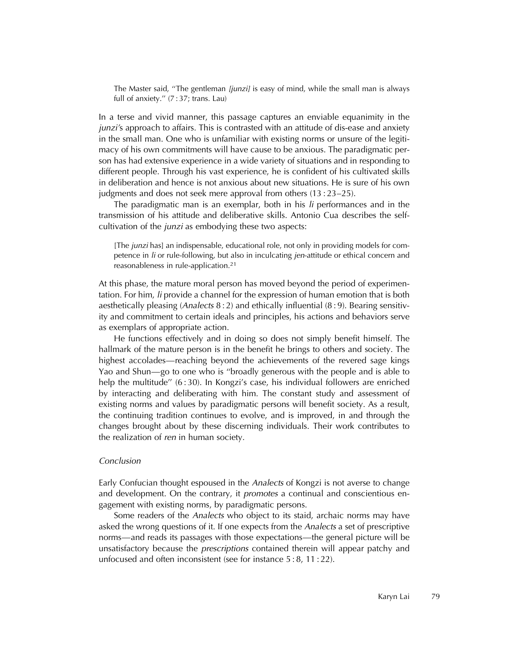The Master said, "The gentleman [junzi] is easy of mind, while the small man is always full of anxiety."  $(7:37;$  trans. Lau)

In a terse and vivid manner, this passage captures an enviable equanimity in the junzi's approach to affairs. This is contrasted with an attitude of dis-ease and anxiety in the small man. One who is unfamiliar with existing norms or unsure of the legitimacy of his own commitments will have cause to be anxious. The paradigmatic person has had extensive experience in a wide variety of situations and in responding to different people. Through his vast experience, he is confident of his cultivated skills in deliberation and hence is not anxious about new situations. He is sure of his own judgments and does not seek mere approval from others  $(13:23-25)$ .

The paradigmatic man is an exemplar, both in his li performances and in the transmission of his attitude and deliberative skills. Antonio Cua describes the selfcultivation of the junzi as embodying these two aspects:

[The junzi has] an indispensable, educational role, not only in providing models for competence in li or rule-following, but also in inculcating jen-attitude or ethical concern and reasonableness in rule-application.<sup>21</sup>

At this phase, the mature moral person has moved beyond the period of experimentation. For him, *li* provide a channel for the expression of human emotion that is both aesthetically pleasing (Analects  $8:2$ ) and ethically influential ( $8:9$ ). Bearing sensitivity and commitment to certain ideals and principles, his actions and behaviors serve as exemplars of appropriate action.

He functions effectively and in doing so does not simply benefit himself. The hallmark of the mature person is in the benefit he brings to others and society. The highest accolades—reaching beyond the achievements of the revered sage kings Yao and Shun—go to one who is "broadly generous with the people and is able to help the multitude" (6:30). In Kongzi's case, his individual followers are enriched by interacting and deliberating with him. The constant study and assessment of existing norms and values by paradigmatic persons will benefit society. As a result, the continuing tradition continues to evolve, and is improved, in and through the changes brought about by these discerning individuals. Their work contributes to the realization of ren in human society.

#### Conclusion

Early Confucian thought espoused in the Analects of Kongzi is not averse to change and development. On the contrary, it *promotes* a continual and conscientious engagement with existing norms, by paradigmatic persons.

Some readers of the Analects who object to its staid, archaic norms may have asked the wrong questions of it. If one expects from the Analects a set of prescriptive norms—and reads its passages with those expectations—the general picture will be unsatisfactory because the prescriptions contained therein will appear patchy and unfocused and often inconsistent (see for instance  $5:8$ ,  $11:22$ ).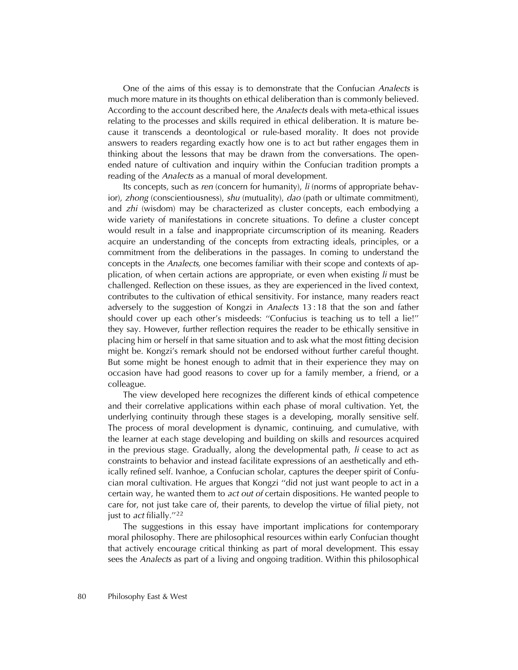One of the aims of this essay is to demonstrate that the Confucian Analects is much more mature in its thoughts on ethical deliberation than is commonly believed. According to the account described here, the Analects deals with meta-ethical issues relating to the processes and skills required in ethical deliberation. It is mature because it transcends a deontological or rule-based morality. It does not provide answers to readers regarding exactly how one is to act but rather engages them in thinking about the lessons that may be drawn from the conversations. The openended nature of cultivation and inquiry within the Confucian tradition prompts a reading of the Analects as a manual of moral development.

Its concepts, such as *ren* (concern for humanity), *li* (norms of appropriate behavior), zhong (conscientiousness), shu (mutuality), dao (path or ultimate commitment), and zhi (wisdom) may be characterized as cluster concepts, each embodying a wide variety of manifestations in concrete situations. To define a cluster concept would result in a false and inappropriate circumscription of its meaning. Readers acquire an understanding of the concepts from extracting ideals, principles, or a commitment from the deliberations in the passages. In coming to understand the concepts in the Analects, one becomes familiar with their scope and contexts of application, of when certain actions are appropriate, or even when existing *li* must be challenged. Reflection on these issues, as they are experienced in the lived context, contributes to the cultivation of ethical sensitivity. For instance, many readers react adversely to the suggestion of Kongzi in Analects 13:18 that the son and father should cover up each other's misdeeds: "Confucius is teaching us to tell a lie!" they say. However, further reflection requires the reader to be ethically sensitive in placing him or herself in that same situation and to ask what the most fitting decision might be. Kongzi's remark should not be endorsed without further careful thought. But some might be honest enough to admit that in their experience they may on occasion have had good reasons to cover up for a family member, a friend, or a colleague.

The view developed here recognizes the different kinds of ethical competence and their correlative applications within each phase of moral cultivation. Yet, the underlying continuity through these stages is a developing, morally sensitive self. The process of moral development is dynamic, continuing, and cumulative, with the learner at each stage developing and building on skills and resources acquired in the previous stage. Gradually, along the developmental path, *li* cease to act as constraints to behavior and instead facilitate expressions of an aesthetically and ethically refined self. Ivanhoe, a Confucian scholar, captures the deeper spirit of Confucian moral cultivation. He argues that Kongzi "did not just want people to act in a certain way, he wanted them to *act out of* certain dispositions. He wanted people to care for, not just take care of, their parents, to develop the virtue of filial piety, not just to act filially."22

The suggestions in this essay have important implications for contemporary moral philosophy. There are philosophical resources within early Confucian thought that actively encourage critical thinking as part of moral development. This essay sees the Analects as part of a living and ongoing tradition. Within this philosophical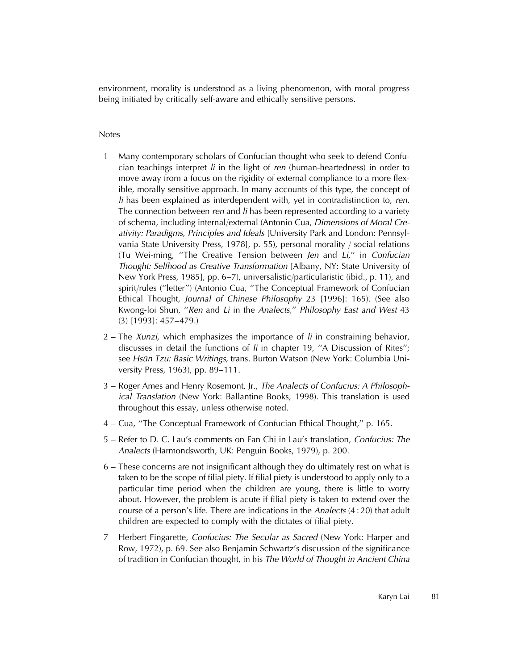environment, morality is understood as a living phenomenon, with moral progress being initiated by critically self-aware and ethically sensitive persons.

#### **Notes**

- 1 Many contemporary scholars of Confucian thought who seek to defend Confucian teachings interpret li in the light of ren (human-heartedness) in order to move away from a focus on the rigidity of external compliance to a more flexible, morally sensitive approach. In many accounts of this type, the concept of li has been explained as interdependent with, yet in contradistinction to, ren. The connection between ren and li has been represented according to a variety of schema, including internal/external (Antonio Cua, Dimensions of Moral Creativity: Paradigms, Principles and Ideals [University Park and London: Pennsylvania State University Press, 1978], p. 55), personal morality / social relations (Tu Wei-ming, "The Creative Tension between Jen and Li," in Confucian Thought: Selfhood as Creative Transformation [Albany, NY: State University of New York Press, 1985], pp. 6–7), universalistic/particularistic (ibid., p. 11), and spirit/rules ("letter") (Antonio Cua, "The Conceptual Framework of Confucian Ethical Thought, Journal of Chinese Philosophy 23 [1996]: 165). (See also Kwong-loi Shun, "Ren and Li in the Analects," Philosophy East and West 43  $(3)$  [1993]: 457-479.)
- 2 The *Xunzi*, which emphasizes the importance of  $\hat{I}$  in constraining behavior, discusses in detail the functions of li in chapter 19, "A Discussion of Rites"; see Hsün Tzu: Basic Writings, trans. Burton Watson (New York: Columbia University Press, 1963), pp. 89-111.
- 3 Roger Ames and Henry Rosemont, Jr., The Analects of Confucius: A Philosophical Translation (New York: Ballantine Books, 1998). This translation is used throughout this essay, unless otherwise noted.
- 4 Cua, "The Conceptual Framework of Confucian Ethical Thought," p. 165.
- 5 Refer to D. C. Lau's comments on Fan Chi in Lau's translation, Confucius: The Analects (Harmondsworth, UK: Penguin Books, 1979), p. 200.
- 6 These concerns are not insignificant although they do ultimately rest on what is taken to be the scope of filial piety. If filial piety is understood to apply only to a particular time period when the children are young, there is little to worry about. However, the problem is acute if filial piety is taken to extend over the course of a person's life. There are indications in the Analects  $(4:20)$  that adult children are expected to comply with the dictates of filial piety.
- 7 Herbert Fingarette, Confucius: The Secular as Sacred (New York: Harper and Row, 1972), p. 69. See also Benjamin Schwartz's discussion of the significance of tradition in Confucian thought, in his The World of Thought in Ancient China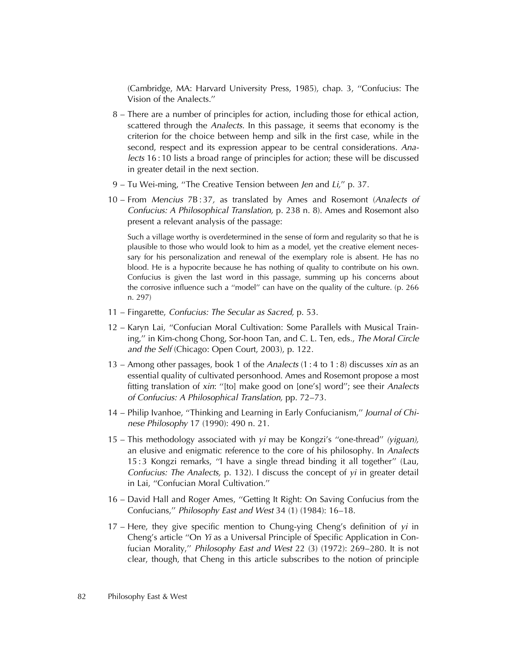(Cambridge, MA: Harvard University Press, 1985), chap. 3, "Confucius: The Vision of the Analects."

- 8 There are a number of principles for action, including those for ethical action, scattered through the Analects. In this passage, it seems that economy is the criterion for the choice between hemp and silk in the first case, while in the second, respect and its expression appear to be central considerations. Analects 16:10 lists a broad range of principles for action; these will be discussed in greater detail in the next section.
- 9 Tu Wei-ming, "The Creative Tension between Jen and Li," p. 37.
- 10 From Mencius 7B:37, as translated by Ames and Rosemont (Analects of Confucius: A Philosophical Translation, p. 238 n. 8). Ames and Rosemont also present a relevant analysis of the passage:

Such a village worthy is overdetermined in the sense of form and regularity so that he is plausible to those who would look to him as a model, yet the creative element necessary for his personalization and renewal of the exemplary role is absent. He has no blood. He is a hypocrite because he has nothing of quality to contribute on his own. Confucius is given the last word in this passage, summing up his concerns about the corrosive influence such a "model" can have on the quality of the culture. (p. 266 n. 297)

- 11 Fingarette, Confucius: The Secular as Sacred, p. 53.
- 12 Karyn Lai, "Confucian Moral Cultivation: Some Parallels with Musical Training," in Kim-chong Chong, Sor-hoon Tan, and C. L. Ten, eds., The Moral Circle and the Self (Chicago: Open Court, 2003), p. 122.
- 13 Among other passages, book 1 of the Analects (1:4 to 1:8) discusses xin as an essential quality of cultivated personhood. Ames and Rosemont propose a most fitting translation of xin: "[to] make good on [one's] word"; see their Analects of Confucius: A Philosophical Translation, pp. 72–73.
- 14 Philip Ivanhoe, "Thinking and Learning in Early Confucianism," Journal of Chinese Philosophy 17 (1990): 490 n. 21.
- 15 This methodology associated with yi may be Kongzi's "one-thread" (yiguan), an elusive and enigmatic reference to the core of his philosophy. In Analects 15:3 Kongzi remarks, "I have a single thread binding it all together" (Lau, Confucius: The Analects, p. 132). I discuss the concept of yi in greater detail in Lai, "Confucian Moral Cultivation."
- 16 David Hall and Roger Ames, "Getting It Right: On Saving Confucius from the Confucians," Philosophy East and West 34 (1) (1984): 16-18.
- 17 Here, they give specific mention to Chung-ying Cheng's definition of  $yi$  in Cheng's article "On Yi as a Universal Principle of Specific Application in Confucian Morality," Philosophy East and West 22 (3) (1972): 269-280. It is not clear, though, that Cheng in this article subscribes to the notion of principle